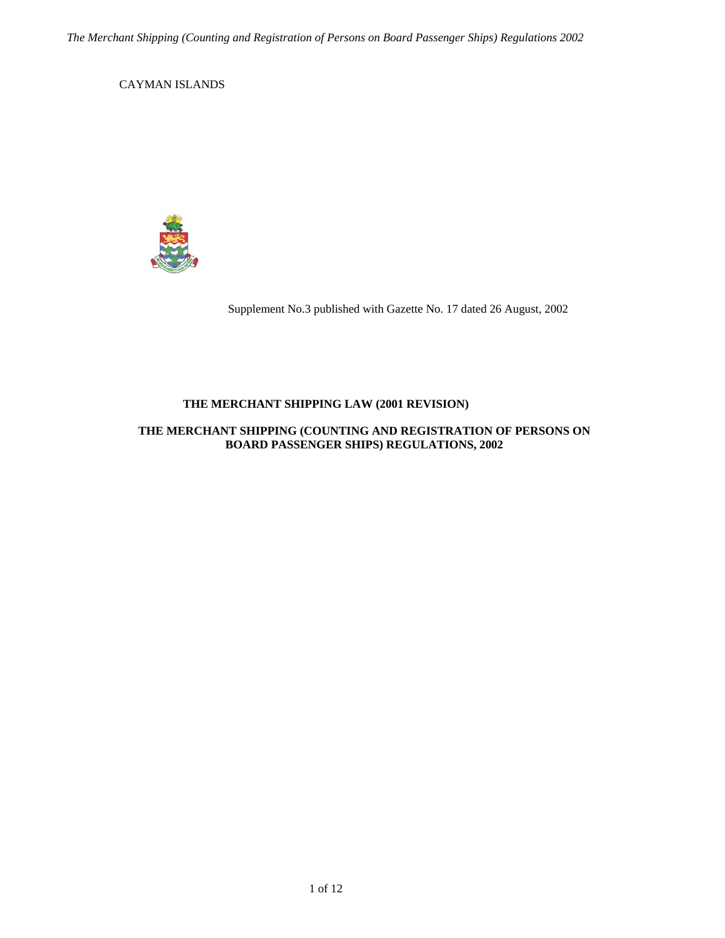<span id="page-0-0"></span>CAYMAN ISLANDS



Supplement No.3 published with Gazette No. 17 dated 26 August, 2002

# **THE MERCHANT SHIPPING LAW (2001 REVISION)**

## **THE MERCHANT SHIPPING (COUNTING AND REGISTRATION OF PERSONS ON BOARD PASSENGER SHIPS) REGULATIONS, 2002**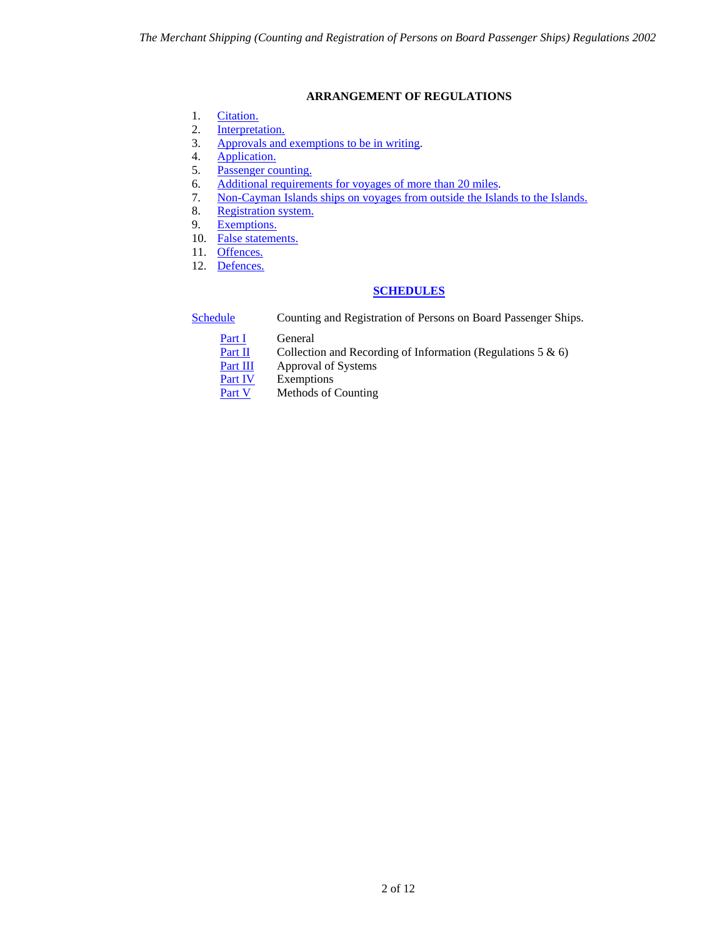# **ARRANGEMENT OF REGULATIONS**

- <span id="page-1-0"></span>1. [Citation.](#page-2-0)
- 2. [Interpretation.](#page-2-1)
- 3. [Approvals and exemptions to be in writing.](#page-3-0)
- 4. [Application.](#page-3-1)
- 5. [Passenger counting.](#page-3-2)
- 6. [Additional requirements for voyages of more than 20 miles.](#page-4-0)
- 7. [Non-Cayman Islands ships on voyages from outside the Islands to the Islands.](#page-4-1)
- 8. [Registration system.](#page-4-2)
- 9. [Exemptions.](#page-5-0)
- 10. False statements.
- 11. [Offences.](#page-5-2)
- 12. [Defences.](#page-5-3)

# **[SCHEDULES](#page-0-0)**

[Schedule](#page-6-0) Counting and Registration of Persons on Board Passenger Ships.

**Part I** General<br>Part II Collection

- Collection and Recording of Information (Regulations 5  $\&$  6)
- [Part III](#page-7-0) Approval of Systems

**[Part IV](#page-8-0)** Exemptions<br>Part V Methods of

Methods of Counting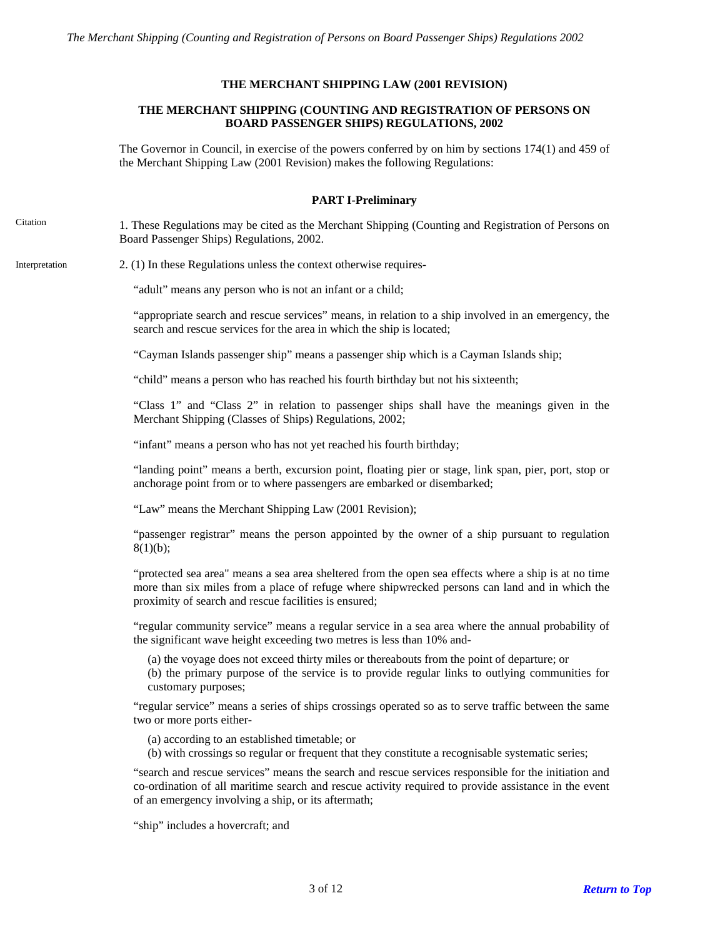## **THE MERCHANT SHIPPING LAW (2001 REVISION)**

## **THE MERCHANT SHIPPING (COUNTING AND REGISTRATION OF PERSONS ON BOARD PASSENGER SHIPS) REGULATIONS, 2002**

The Governor in Council, in exercise of the powers conferred by on him by sections 174(1) and 459 of the Merchant Shipping Law (2001 Revision) makes the following Regulations:

#### **PART I-Preliminary**

<span id="page-2-0"></span>Citation 1. These Regulations may be cited as the Merchant Shipping (Counting and Registration of Persons on Board Passenger Ships) Regulations, 2002.

<span id="page-2-1"></span>Interpretation 2. (1) In these Regulations unless the context otherwise requires-

"adult" means any person who is not an infant or a child;

"appropriate search and rescue services" means, in relation to a ship involved in an emergency, the search and rescue services for the area in which the ship is located;

"Cayman Islands passenger ship" means a passenger ship which is a Cayman Islands ship;

"child" means a person who has reached his fourth birthday but not his sixteenth;

"Class 1" and "Class 2" in relation to passenger ships shall have the meanings given in the Merchant Shipping (Classes of Ships) Regulations, 2002;

"infant" means a person who has not yet reached his fourth birthday;

"landing point" means a berth, excursion point, floating pier or stage, link span, pier, port, stop or anchorage point from or to where passengers are embarked or disembarked;

"Law" means the Merchant Shipping Law (2001 Revision);

"passenger registrar" means the person appointed by the owner of a ship pursuant to regulation  $8(1)(b);$ 

"protected sea area" means a sea area sheltered from the open sea effects where a ship is at no time more than six miles from a place of refuge where shipwrecked persons can land and in which the proximity of search and rescue facilities is ensured;

"regular community service" means a regular service in a sea area where the annual probability of the significant wave height exceeding two metres is less than 10% and-

(a) the voyage does not exceed thirty miles or thereabouts from the point of departure; or

(b) the primary purpose of the service is to provide regular links to outlying communities for customary purposes;

"regular service" means a series of ships crossings operated so as to serve traffic between the same two or more ports either-

(a) according to an established timetable; or

(b) with crossings so regular or frequent that they constitute a recognisable systematic series;

"search and rescue services" means the search and rescue services responsible for the initiation and co-ordination of all maritime search and rescue activity required to provide assistance in the event of an emergency involving a ship, or its aftermath;

"ship" includes a hovercraft; and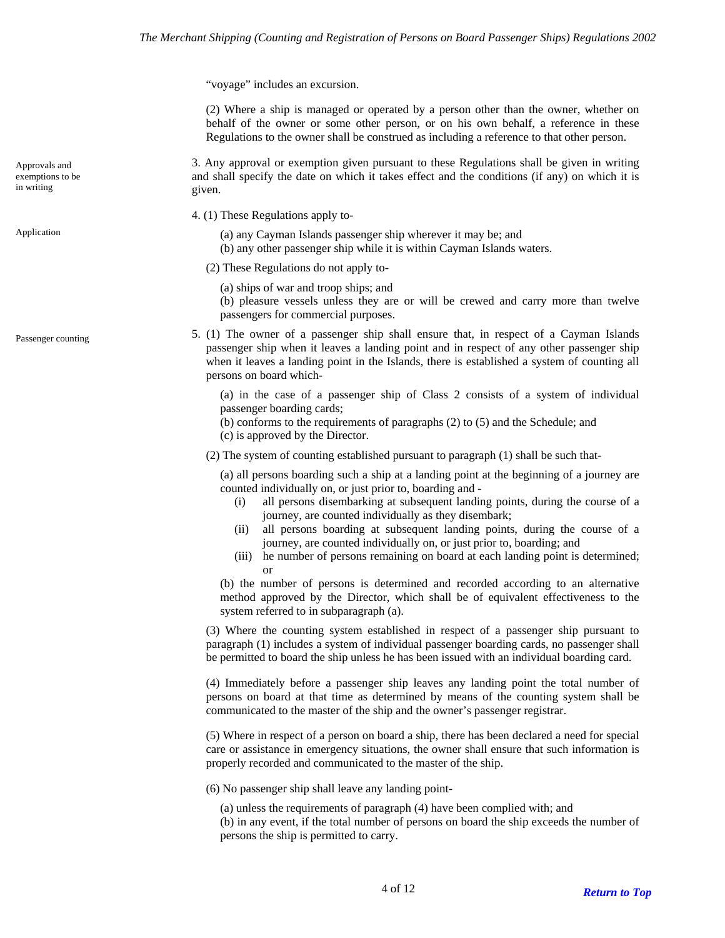"voyage" includes an excursion.

(2) Where a ship is managed or operated by a person other than the owner, whether on behalf of the owner or some other person, or on his own behalf, a reference in these Regulations to the owner shall be construed as including a reference to that other person.

3. Any approval or exemption given pursuant to these Regulations shall be given in writing and shall specify the date on which it takes effect and the conditions (if any) on which it is given.

4. (1) These Regulations apply to-

- <span id="page-3-1"></span>Application (a) any Cayman Islands passenger ship wherever it may be; and
	- (b) any other passenger ship while it is within Cayman Islands waters.
	- (2) These Regulations do not apply to-
		- (a) ships of war and troop ships; and
		- (b) pleasure vessels unless they are or will be crewed and carry more than twelve passengers for commercial purposes.
	- 5. (1) The owner of a passenger ship shall ensure that, in respect of a Cayman Islands passenger ship when it leaves a landing point and in respect of any other passenger ship when it leaves a landing point in the Islands, there is established a system of counting all persons on board which-

(a) in the case of a passenger ship of Class 2 consists of a system of individual passenger boarding cards;

(b) conforms to the requirements of paragraphs (2) to (5) and the Schedule; and

(c) is approved by the Director.

(2) The system of counting established pursuant to paragraph (1) shall be such that-

(a) all persons boarding such a ship at a landing point at the beginning of a journey are counted individually on, or just prior to, boarding and -

- (i) all persons disembarking at subsequent landing points, during the course of a journey, are counted individually as they disembark;
- (ii) all persons boarding at subsequent landing points, during the course of a journey, are counted individually on, or just prior to, boarding; and
- (iii) he number of persons remaining on board at each landing point is determined; or

(b) the number of persons is determined and recorded according to an alternative method approved by the Director, which shall be of equivalent effectiveness to the system referred to in subparagraph (a).

(3) Where the counting system established in respect of a passenger ship pursuant to paragraph (1) includes a system of individual passenger boarding cards, no passenger shall be permitted to board the ship unless he has been issued with an individual boarding card.

(4) Immediately before a passenger ship leaves any landing point the total number of persons on board at that time as determined by means of the counting system shall be communicated to the master of the ship and the owner's passenger registrar.

(5) Where in respect of a person on board a ship, there has been declared a need for special care or assistance in emergency situations, the owner shall ensure that such information is properly recorded and communicated to the master of the ship.

(6) No passenger ship shall leave any landing point-

(a) unless the requirements of paragraph (4) have been complied with; and (b) in any event, if the total number of persons on board the ship exceeds the number of persons the ship is permitted to carry.

<span id="page-3-0"></span>Approvals and exemptions to be in writing

<span id="page-3-2"></span>Passenger counting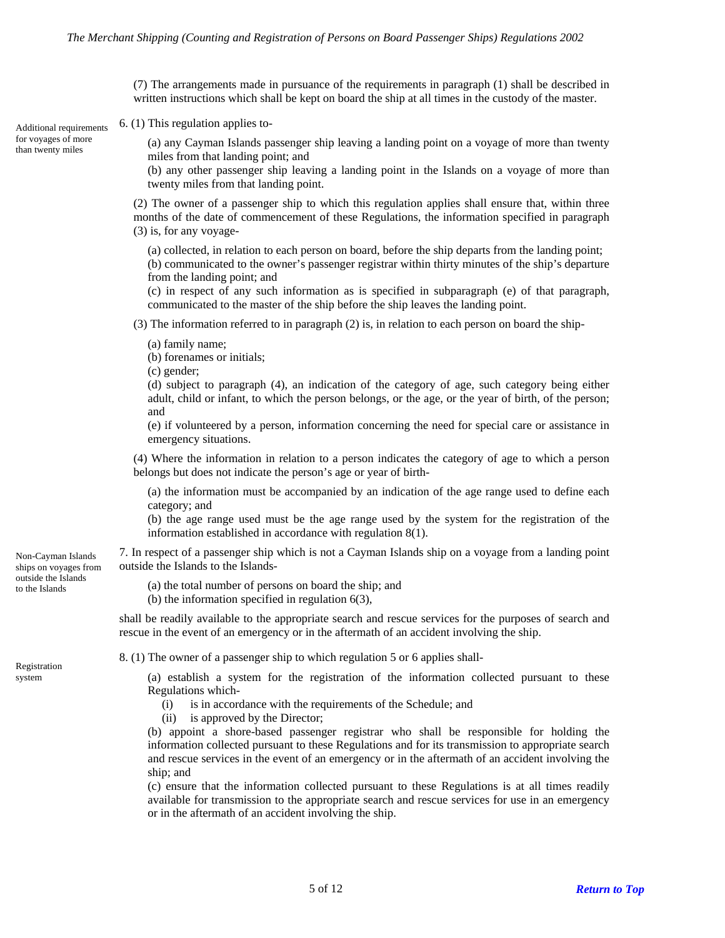(7) The arrangements made in pursuance of the requirements in paragraph (1) shall be described in written instructions which shall be kept on board the ship at all times in the custody of the master.

<span id="page-4-0"></span>Additional requirements 6. (1) This regulation applies to-

(a) any Cayman Islands passenger ship leaving a landing point on a voyage of more than twenty miles from that landing point; and

(b) any other passenger ship leaving a landing point in the Islands on a voyage of more than twenty miles from that landing point.

(2) The owner of a passenger ship to which this regulation applies shall ensure that, within three months of the date of commencement of these Regulations, the information specified in paragraph (3) is, for any voyage-

(a) collected, in relation to each person on board, before the ship departs from the landing point; (b) communicated to the owner's passenger registrar within thirty minutes of the ship's departure from the landing point; and

(c) in respect of any such information as is specified in subparagraph (e) of that paragraph, communicated to the master of the ship before the ship leaves the landing point.

(3) The information referred to in paragraph (2) is, in relation to each person on board the ship-

(a) family name;

(b) forenames or initials;

(c) gender;

(d) subject to paragraph (4), an indication of the category of age, such category being either adult, child or infant, to which the person belongs, or the age, or the year of birth, of the person; and

(e) if volunteered by a person, information concerning the need for special care or assistance in emergency situations.

(4) Where the information in relation to a person indicates the category of age to which a person belongs but does not indicate the person's age or year of birth-

(a) the information must be accompanied by an indication of the age range used to define each category; and

(b) the age range used must be the age range used by the system for the registration of the information established in accordance with regulation 8(1).

7. In respect of a passenger ship which is not a Cayman Islands ship on a voyage from a landing point outside the Islands to the Islands-

to the Islands (a) the total number of persons on board the ship; and

(b) the information specified in regulation 6(3),

shall be readily available to the appropriate search and rescue services for the purposes of search and rescue in the event of an emergency or in the aftermath of an accident involving the ship.

<span id="page-4-2"></span>8. (1) The owner of a passenger ship to which regulation 5 or 6 applies shall-

system (a) establish a system for the registration of the information collected pursuant to these Regulations which-

- (i) is in accordance with the requirements of the Schedule; and
- (ii) is approved by the Director;

(b) appoint a shore-based passenger registrar who shall be responsible for holding the information collected pursuant to these Regulations and for its transmission to appropriate search and rescue services in the event of an emergency or in the aftermath of an accident involving the ship; and

(c) ensure that the information collected pursuant to these Regulations is at all times readily available for transmission to the appropriate search and rescue services for use in an emergency or in the aftermath of an accident involving the ship.

<span id="page-4-1"></span>Non-Cayman Islands ships on voyages from outside the Islands

for voyages of more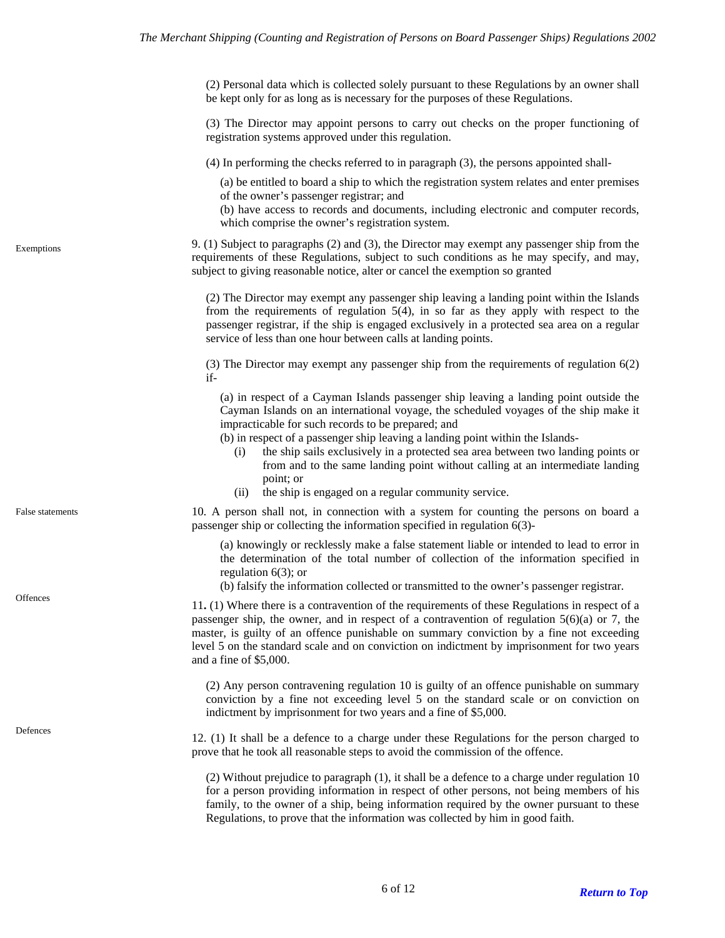(2) Personal data which is collected solely pursuant to these Regulations by an owner shall be kept only for as long as is necessary for the purposes of these Regulations.

(3) The Director may appoint persons to carry out checks on the proper functioning of registration systems approved under this regulation.

(4) In performing the checks referred to in paragraph (3), the persons appointed shall-

(a) be entitled to board a ship to which the registration system relates and enter premises of the owner's passenger registrar; and

(b) have access to records and documents, including electronic and computer records, which comprise the owner's registration system.

9. (1) Subject to paragraphs (2) and (3), the Director may exempt any passenger ship from the requirements of these Regulations, subject to such conditions as he may specify, and may, subject to giving reasonable notice, alter or cancel the exemption so granted

(2) The Director may exempt any passenger ship leaving a landing point within the Islands from the requirements of regulation 5(4), in so far as they apply with respect to the passenger registrar, if the ship is engaged exclusively in a protected sea area on a regular service of less than one hour between calls at landing points.

(3) The Director may exempt any passenger ship from the requirements of regulation 6(2) if-

(a) in respect of a Cayman Islands passenger ship leaving a landing point outside the Cayman Islands on an international voyage, the scheduled voyages of the ship make it impracticable for such records to be prepared; and

(b) in respect of a passenger ship leaving a landing point within the Islands-

- (i) the ship sails exclusively in a protected sea area between two landing points or from and to the same landing point without calling at an intermediate landing point; or
- (ii) the ship is engaged on a regular community service.

10. A person shall not, in connection with a system for counting the persons on board a passenger ship or collecting the information specified in regulation 6(3)-

(a) knowingly or recklessly make a false statement liable or intended to lead to error in the determination of the total number of collection of the information specified in regulation 6(3); or

(b) falsify the information collected or transmitted to the owner's passenger registrar.

<span id="page-5-2"></span>Offences 11. (1) Where there is a contravention of the requirements of these Regulations in respect of a passenger ship, the owner, and in respect of a contravention of regulation  $5(6)(a)$  or 7, the master, is guilty of an offence punishable on summary conviction by a fine not exceeding level 5 on the standard scale and on conviction on indictment by imprisonment for two years and a fine of \$5,000.

> (2) Any person contravening regulation 10 is guilty of an offence punishable on summary conviction by a fine not exceeding level 5 on the standard scale or on conviction on indictment by imprisonment for two years and a fine of \$5,000.

<span id="page-5-3"></span>Defences 12. (1) It shall be a defence to a charge under these Regulations for the person charged to prove that he took all reasonable steps to avoid the commission of the offence.

> (2) Without prejudice to paragraph (1), it shall be a defence to a charge under regulation 10 for a person providing information in respect of other persons, not being members of his family, to the owner of a ship, being information required by the owner pursuant to these Regulations, to prove that the information was collected by him in good faith.

<span id="page-5-1"></span>False statements

<span id="page-5-0"></span>Exemptions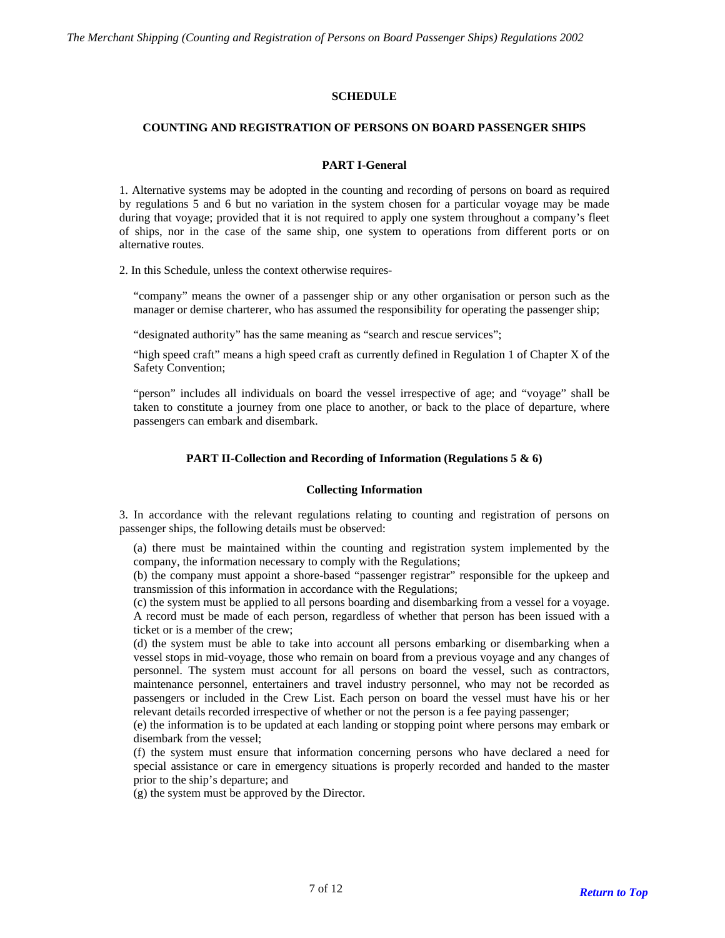## **SCHEDULE**

### <span id="page-6-0"></span>**COUNTING AND REGISTRATION OF PERSONS ON BOARD PASSENGER SHIPS**

### **PART I-General**

<span id="page-6-1"></span>1. Alternative systems may be adopted in the counting and recording of persons on board as required by regulations 5 and 6 but no variation in the system chosen for a particular voyage may be made during that voyage; provided that it is not required to apply one system throughout a company's fleet of ships, nor in the case of the same ship, one system to operations from different ports or on alternative routes.

2. In this Schedule, unless the context otherwise requires-

"company" means the owner of a passenger ship or any other organisation or person such as the manager or demise charterer, who has assumed the responsibility for operating the passenger ship;

"designated authority" has the same meaning as "search and rescue services";

"high speed craft" means a high speed craft as currently defined in Regulation 1 of Chapter X of the Safety Convention;

"person" includes all individuals on board the vessel irrespective of age; and "voyage" shall be taken to constitute a journey from one place to another, or back to the place of departure, where passengers can embark and disembark.

#### **PART II-Collection and Recording of Information (Regulations 5 & 6)**

#### **Collecting Information**

<span id="page-6-2"></span>3. In accordance with the relevant regulations relating to counting and registration of persons on passenger ships, the following details must be observed:

(a) there must be maintained within the counting and registration system implemented by the company, the information necessary to comply with the Regulations;

(b) the company must appoint a shore-based "passenger registrar" responsible for the upkeep and transmission of this information in accordance with the Regulations;

(c) the system must be applied to all persons boarding and disembarking from a vessel for a voyage. A record must be made of each person, regardless of whether that person has been issued with a ticket or is a member of the crew;

(d) the system must be able to take into account all persons embarking or disembarking when a vessel stops in mid-voyage, those who remain on board from a previous voyage and any changes of personnel. The system must account for all persons on board the vessel, such as contractors, maintenance personnel, entertainers and travel industry personnel, who may not be recorded as passengers or included in the Crew List. Each person on board the vessel must have his or her relevant details recorded irrespective of whether or not the person is a fee paying passenger;

(e) the information is to be updated at each landing or stopping point where persons may embark or disembark from the vessel;

(f) the system must ensure that information concerning persons who have declared a need for special assistance or care in emergency situations is properly recorded and handed to the master prior to the ship's departure; and

(g) the system must be approved by the Director.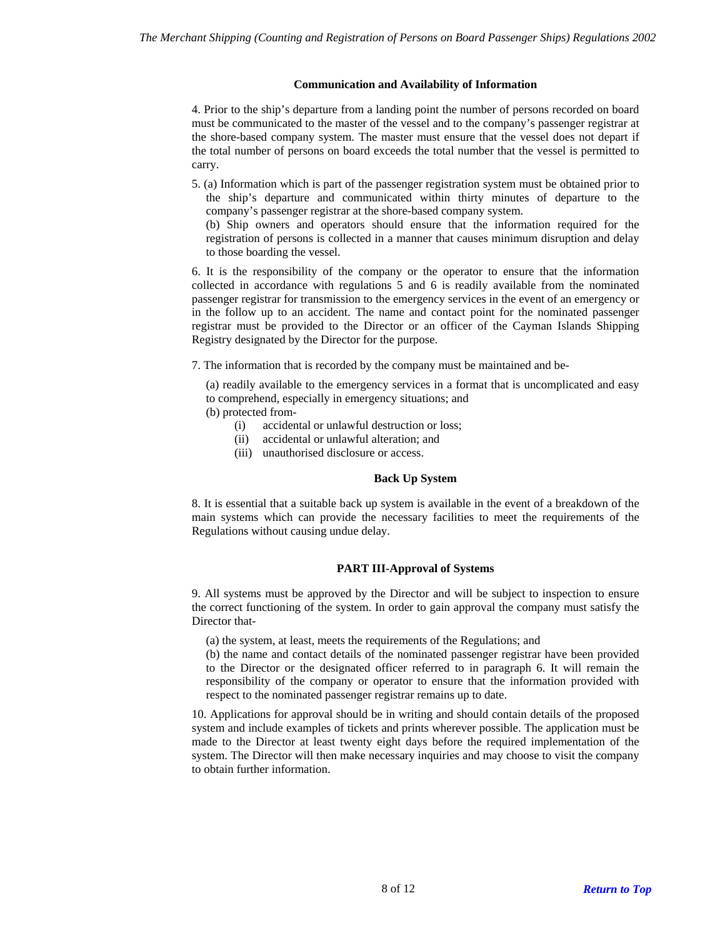### **Communication and Availability of Information**

4. Prior to the ship's departure from a landing point the number of persons recorded on board must be communicated to the master of the vessel and to the company's passenger registrar at the shore-based company system. The master must ensure that the vessel does not depart if the total number of persons on board exceeds the total number that the vessel is permitted to carry.

- 5. (a) Information which is part of the passenger registration system must be obtained prior to the ship's departure and communicated within thirty minutes of departure to the company's passenger registrar at the shore-based company system.
	- (b) Ship owners and operators should ensure that the information required for the registration of persons is collected in a manner that causes minimum disruption and delay to those boarding the vessel.

6. It is the responsibility of the company or the operator to ensure that the information collected in accordance with regulations 5 and 6 is readily available from the nominated passenger registrar for transmission to the emergency services in the event of an emergency or in the follow up to an accident. The name and contact point for the nominated passenger registrar must be provided to the Director or an officer of the Cayman Islands Shipping Registry designated by the Director for the purpose.

7. The information that is recorded by the company must be maintained and be-

(a) readily available to the emergency services in a format that is uncomplicated and easy to comprehend, especially in emergency situations; and (b) protected from-

- (i) accidental or unlawful destruction or loss;
- (ii) accidental or unlawful alteration; and
- (iii) unauthorised disclosure or access.

#### **Back Up System**

8. It is essential that a suitable back up system is available in the event of a breakdown of the main systems which can provide the necessary facilities to meet the requirements of the Regulations without causing undue delay.

## **PART III-Approval of Systems**

<span id="page-7-0"></span>9. All systems must be approved by the Director and will be subject to inspection to ensure the correct functioning of the system. In order to gain approval the company must satisfy the Director that-

(a) the system, at least, meets the requirements of the Regulations; and

(b) the name and contact details of the nominated passenger registrar have been provided to the Director or the designated officer referred to in paragraph 6. It will remain the responsibility of the company or operator to ensure that the information provided with respect to the nominated passenger registrar remains up to date.

10. Applications for approval should be in writing and should contain details of the proposed system and include examples of tickets and prints wherever possible. The application must be made to the Director at least twenty eight days before the required implementation of the system. The Director will then make necessary inquiries and may choose to visit the company to obtain further information.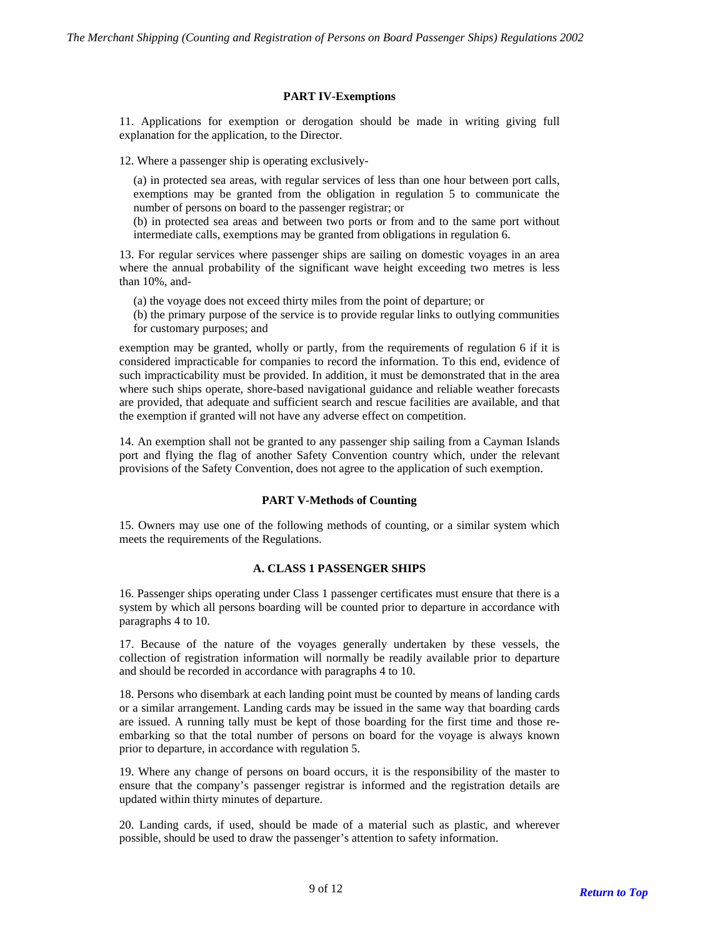#### **PART IV-Exemptions**

<span id="page-8-0"></span>11. Applications for exemption or derogation should be made in writing giving full explanation for the application, to the Director.

12. Where a passenger ship is operating exclusively-

(a) in protected sea areas, with regular services of less than one hour between port calls, exemptions may be granted from the obligation in regulation 5 to communicate the number of persons on board to the passenger registrar; or

(b) in protected sea areas and between two ports or from and to the same port without intermediate calls, exemptions may be granted from obligations in regulation 6.

13. For regular services where passenger ships are sailing on domestic voyages in an area where the annual probability of the significant wave height exceeding two metres is less than 10%, and-

(a) the voyage does not exceed thirty miles from the point of departure; or

(b) the primary purpose of the service is to provide regular links to outlying communities for customary purposes; and

exemption may be granted, wholly or partly, from the requirements of regulation 6 if it is considered impracticable for companies to record the information. To this end, evidence of such impracticability must be provided. In addition, it must be demonstrated that in the area where such ships operate, shore-based navigational guidance and reliable weather forecasts are provided, that adequate and sufficient search and rescue facilities are available, and that the exemption if granted will not have any adverse effect on competition.

14. An exemption shall not be granted to any passenger ship sailing from a Cayman Islands port and flying the flag of another Safety Convention country which, under the relevant provisions of the Safety Convention, does not agree to the application of such exemption.

## **PART V-Methods of Counting**

<span id="page-8-1"></span>15. Owners may use one of the following methods of counting, or a similar system which meets the requirements of the Regulations.

#### **A. CLASS 1 PASSENGER SHIPS**

16. Passenger ships operating under Class 1 passenger certificates must ensure that there is a system by which all persons boarding will be counted prior to departure in accordance with paragraphs 4 to 10.

17. Because of the nature of the voyages generally undertaken by these vessels, the collection of registration information will normally be readily available prior to departure and should be recorded in accordance with paragraphs 4 to 10.

18. Persons who disembark at each landing point must be counted by means of landing cards or a similar arrangement. Landing cards may be issued in the same way that boarding cards are issued. A running tally must be kept of those boarding for the first time and those reembarking so that the total number of persons on board for the voyage is always known prior to departure, in accordance with regulation 5.

19. Where any change of persons on board occurs, it is the responsibility of the master to ensure that the company's passenger registrar is informed and the registration details are updated within thirty minutes of departure.

20. Landing cards, if used, should be made of a material such as plastic, and wherever possible, should be used to draw the passenger's attention to safety information.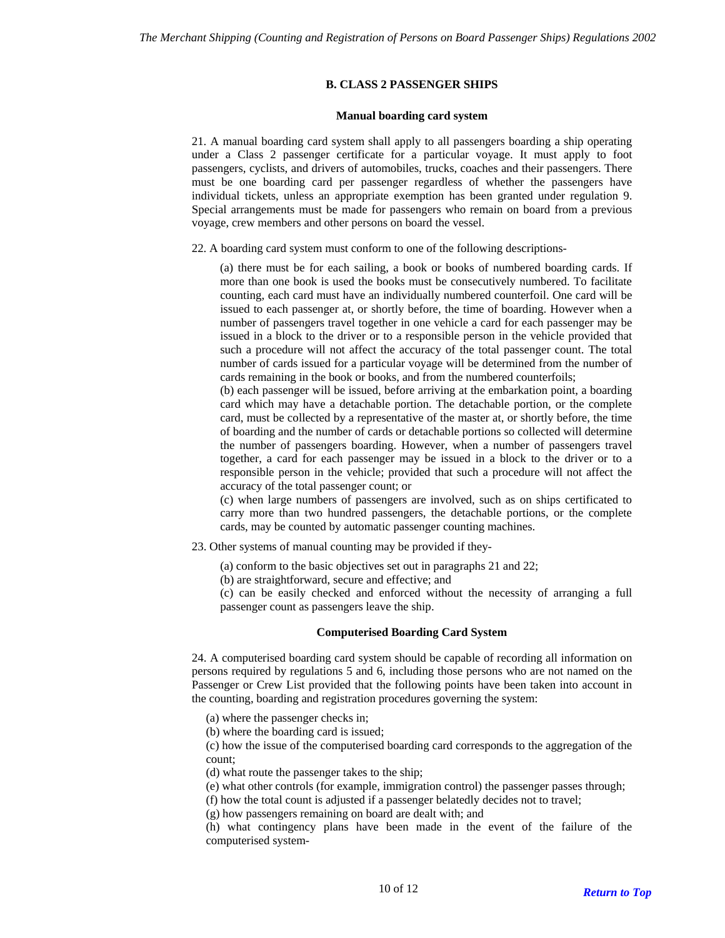### **B. CLASS 2 PASSENGER SHIPS**

#### **Manual boarding card system**

21. A manual boarding card system shall apply to all passengers boarding a ship operating under a Class 2 passenger certificate for a particular voyage. It must apply to foot passengers, cyclists, and drivers of automobiles, trucks, coaches and their passengers. There must be one boarding card per passenger regardless of whether the passengers have individual tickets, unless an appropriate exemption has been granted under regulation 9. Special arrangements must be made for passengers who remain on board from a previous voyage, crew members and other persons on board the vessel.

22. A boarding card system must conform to one of the following descriptions-

(a) there must be for each sailing, a book or books of numbered boarding cards. If more than one book is used the books must be consecutively numbered. To facilitate counting, each card must have an individually numbered counterfoil. One card will be issued to each passenger at, or shortly before, the time of boarding. However when a number of passengers travel together in one vehicle a card for each passenger may be issued in a block to the driver or to a responsible person in the vehicle provided that such a procedure will not affect the accuracy of the total passenger count. The total number of cards issued for a particular voyage will be determined from the number of cards remaining in the book or books, and from the numbered counterfoils;

(b) each passenger will be issued, before arriving at the embarkation point, a boarding card which may have a detachable portion. The detachable portion, or the complete card, must be collected by a representative of the master at, or shortly before, the time of boarding and the number of cards or detachable portions so collected will determine the number of passengers boarding. However, when a number of passengers travel together, a card for each passenger may be issued in a block to the driver or to a responsible person in the vehicle; provided that such a procedure will not affect the accuracy of the total passenger count; or

(c) when large numbers of passengers are involved, such as on ships certificated to carry more than two hundred passengers, the detachable portions, or the complete cards, may be counted by automatic passenger counting machines.

23. Other systems of manual counting may be provided if they-

(a) conform to the basic objectives set out in paragraphs 21 and 22;

(b) are straightforward, secure and effective; and

(c) can be easily checked and enforced without the necessity of arranging a full passenger count as passengers leave the ship.

## **Computerised Boarding Card System**

24. A computerised boarding card system should be capable of recording all information on persons required by regulations 5 and 6, including those persons who are not named on the Passenger or Crew List provided that the following points have been taken into account in the counting, boarding and registration procedures governing the system:

(a) where the passenger checks in;

(b) where the boarding card is issued;

(c) how the issue of the computerised boarding card corresponds to the aggregation of the count;

(d) what route the passenger takes to the ship;

(e) what other controls (for example, immigration control) the passenger passes through;

(f) how the total count is adjusted if a passenger belatedly decides not to travel;

(g) how passengers remaining on board are dealt with; and

(h) what contingency plans have been made in the event of the failure of the computerised system-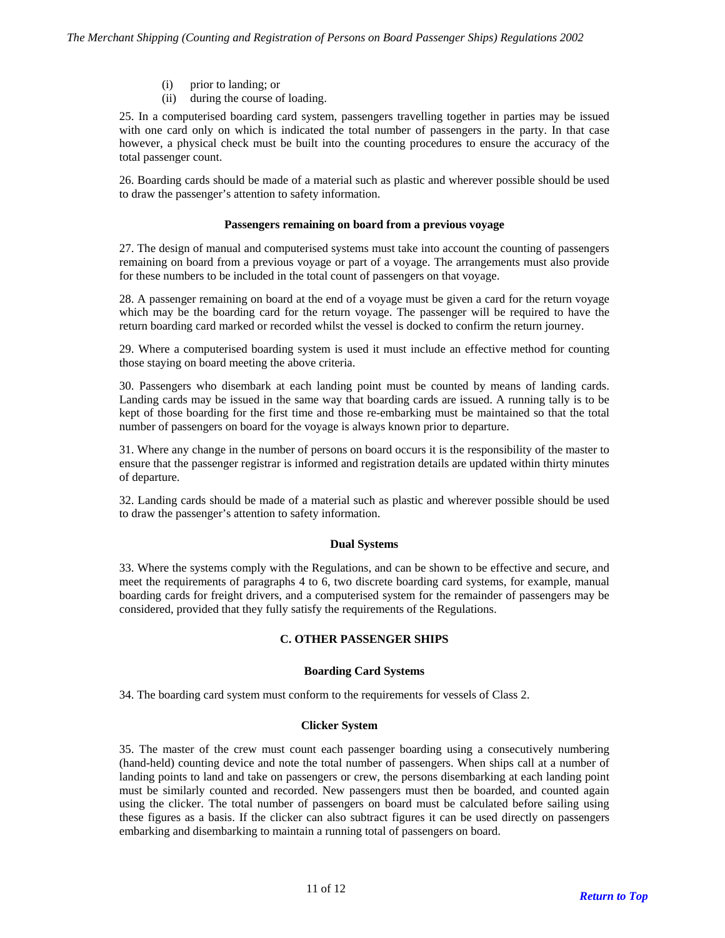- (i) prior to landing; or
- (ii) during the course of loading.

25. In a computerised boarding card system, passengers travelling together in parties may be issued with one card only on which is indicated the total number of passengers in the party. In that case however, a physical check must be built into the counting procedures to ensure the accuracy of the total passenger count.

26. Boarding cards should be made of a material such as plastic and wherever possible should be used to draw the passenger's attention to safety information.

#### **Passengers remaining on board from a previous voyage**

27. The design of manual and computerised systems must take into account the counting of passengers remaining on board from a previous voyage or part of a voyage. The arrangements must also provide for these numbers to be included in the total count of passengers on that voyage.

28. A passenger remaining on board at the end of a voyage must be given a card for the return voyage which may be the boarding card for the return voyage. The passenger will be required to have the return boarding card marked or recorded whilst the vessel is docked to confirm the return journey.

29. Where a computerised boarding system is used it must include an effective method for counting those staying on board meeting the above criteria.

30. Passengers who disembark at each landing point must be counted by means of landing cards. Landing cards may be issued in the same way that boarding cards are issued. A running tally is to be kept of those boarding for the first time and those re-embarking must be maintained so that the total number of passengers on board for the voyage is always known prior to departure.

31. Where any change in the number of persons on board occurs it is the responsibility of the master to ensure that the passenger registrar is informed and registration details are updated within thirty minutes of departure.

32. Landing cards should be made of a material such as plastic and wherever possible should be used to draw the passenger's attention to safety information.

#### **Dual Systems**

33. Where the systems comply with the Regulations, and can be shown to be effective and secure, and meet the requirements of paragraphs 4 to 6, two discrete boarding card systems, for example, manual boarding cards for freight drivers, and a computerised system for the remainder of passengers may be considered, provided that they fully satisfy the requirements of the Regulations.

## **C. OTHER PASSENGER SHIPS**

#### **Boarding Card Systems**

34. The boarding card system must conform to the requirements for vessels of Class 2.

#### **Clicker System**

35. The master of the crew must count each passenger boarding using a consecutively numbering (hand-held) counting device and note the total number of passengers. When ships call at a number of landing points to land and take on passengers or crew, the persons disembarking at each landing point must be similarly counted and recorded. New passengers must then be boarded, and counted again using the clicker. The total number of passengers on board must be calculated before sailing using these figures as a basis. If the clicker can also subtract figures it can be used directly on passengers embarking and disembarking to maintain a running total of passengers on board.